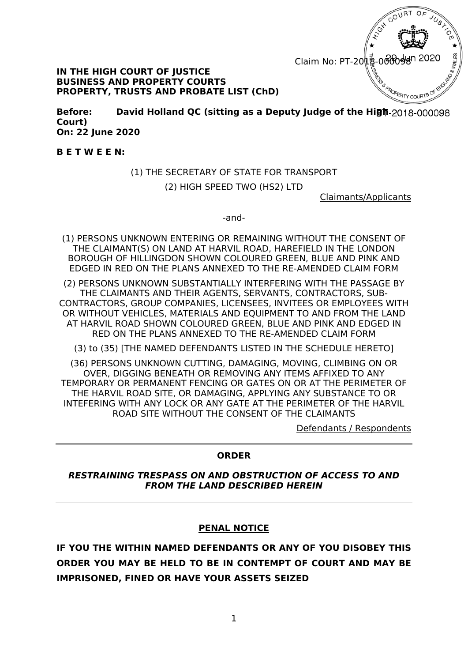

#### **IN THE HIGH COURT OF JUSTICE BUSINESS AND PROPERTY COURTS PROPERTY, TRUSTS AND PROBATE LIST (ChD)**

**Before: David Holland QC (sitting as a Deputy Judge of the High Court) On: 22 June 2020** 

**B E T W E E N:**

# (1) THE SECRETARY OF STATE FOR TRANSPORT

(2) HIGH SPEED TWO (HS2) LTD

Claimants/Applicants

-and-

(1) PERSONS UNKNOWN ENTERING OR REMAINING WITHOUT THE CONSENT OF THE CLAIMANT(S) ON LAND AT HARVIL ROAD, HAREFIELD IN THE LONDON BOROUGH OF HILLINGDON SHOWN COLOURED GREEN, BLUE AND PINK AND EDGED IN RED ON THE PLANS ANNEXED TO THE RE-AMENDED CLAIM FORM

(2) PERSONS UNKNOWN SUBSTANTIALLY INTERFERING WITH THE PASSAGE BY THE CLAIMANTS AND THEIR AGENTS, SERVANTS, CONTRACTORS, SUB-CONTRACTORS, GROUP COMPANIES, LICENSEES, INVITEES OR EMPLOYEES WITH OR WITHOUT VEHICLES, MATERIALS AND EQUIPMENT TO AND FROM THE LAND AT HARVIL ROAD SHOWN COLOURED GREEN, BLUE AND PINK AND EDGED IN RED ON THE PLANS ANNEXED TO THE RE-AMENDED CLAIM FORM

(3) to (35) [THE NAMED DEFENDANTS LISTED IN THE SCHEDULE HERETO]

(36) PERSONS UNKNOWN CUTTING, DAMAGING, MOVING, CLIMBING ON OR OVER, DIGGING BENEATH OR REMOVING ANY ITEMS AFFIXED TO ANY TEMPORARY OR PERMANENT FENCING OR GATES ON OR AT THE PERIMETER OF THE HARVIL ROAD SITE, OR DAMAGING, APPLYING ANY SUBSTANCE TO OR INTEFERING WITH ANY LOCK OR ANY GATE AT THE PERIMETER OF THE HARVIL ROAD SITE WITHOUT THE CONSENT OF THE CLAIMANTS

Defendants / Respondents

#### **ORDER**

*RESTRAINING TRESPASS ON AND OBSTRUCTION OF ACCESS TO AND FROM THE LAND DESCRIBED HEREIN* 

### **PENAL NOTICE**

**IF YOU THE WITHIN NAMED DEFENDANTS OR ANY OF YOU DISOBEY THIS ORDER YOU MAY BE HELD TO BE IN CONTEMPT OF COURT AND MAY BE IMPRISONED, FINED OR HAVE YOUR ASSETS SEIZED**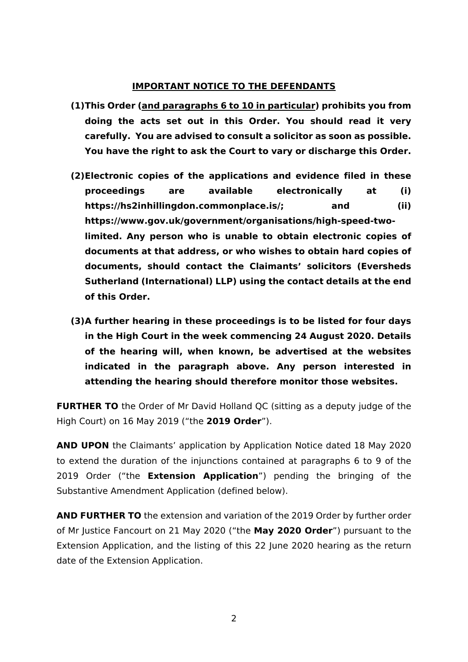#### **IMPORTANT NOTICE TO THE DEFENDANTS**

- **(1)This Order (and paragraphs 6 to 10 in particular) prohibits you from doing the acts set out in this Order. You should read it very carefully. You are advised to consult a solicitor as soon as possible. You have the right to ask the Court to vary or discharge this Order.**
- **(2)Electronic copies of the applications and evidence filed in these proceedings are available electronically at (i)**  https://hs2inhillingdon.commonplace.is/; and (ii) **https://www.gov.uk/government/organisations/high-speed-twolimited. Any person who is unable to obtain electronic copies of documents at that address, or who wishes to obtain hard copies of documents, should contact the Claimants' solicitors (Eversheds Sutherland (International) LLP) using the contact details at the end of this Order.**
- **(3)A further hearing in these proceedings is to be listed for four days in the High Court in the week commencing 24 August 2020. Details of the hearing will, when known, be advertised at the websites indicated in the paragraph above. Any person interested in attending the hearing should therefore monitor those websites.**

**FURTHER TO** the Order of Mr David Holland QC (sitting as a deputy judge of the High Court) on 16 May 2019 ("the **2019 Order**").

**AND UPON** the Claimants' application by Application Notice dated 18 May 2020 to extend the duration of the injunctions contained at paragraphs 6 to 9 of the 2019 Order ("the **Extension Application**") pending the bringing of the Substantive Amendment Application (defined below).

**AND FURTHER TO** the extension and variation of the 2019 Order by further order of Mr Justice Fancourt on 21 May 2020 ("the **May 2020 Order**") pursuant to the Extension Application, and the listing of this 22 June 2020 hearing as the return date of the Extension Application.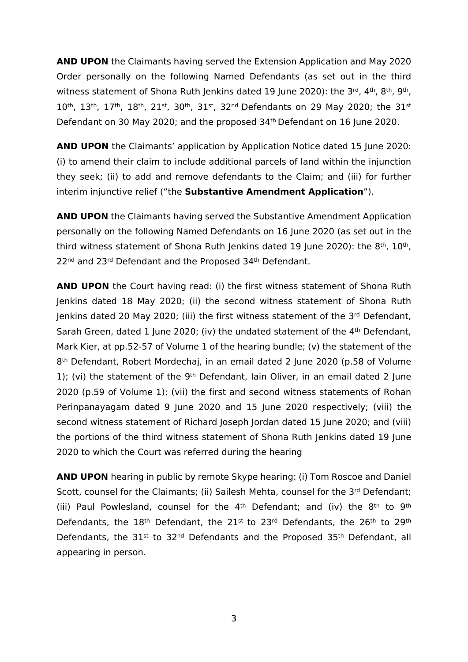**AND UPON** the Claimants having served the Extension Application and May 2020 Order personally on the following Named Defendants (as set out in the third witness statement of Shona Ruth Jenkins dated 19 June 2020): the 3<sup>rd</sup>, 4<sup>th</sup>, 8<sup>th</sup>, 9<sup>th</sup>, 10<sup>th</sup>, 13<sup>th</sup>, 17<sup>th</sup>, 18<sup>th</sup>, 21<sup>st</sup>, 30<sup>th</sup>, 31<sup>st</sup>, 32<sup>nd</sup> Defendants on 29 May 2020; the 31<sup>st</sup> Defendant on 30 May 2020; and the proposed 34th Defendant on 16 June 2020.

**AND UPON** the Claimants' application by Application Notice dated 15 June 2020: (i) to amend their claim to include additional parcels of land within the injunction they seek; (ii) to add and remove defendants to the Claim; and (iii) for further interim injunctive relief ("the **Substantive Amendment Application**").

**AND UPON** the Claimants having served the Substantive Amendment Application personally on the following Named Defendants on 16 June 2020 (as set out in the third witness statement of Shona Ruth Jenkins dated 19 June 2020): the 8<sup>th</sup>, 10<sup>th</sup>, 22nd and 23rd Defendant and the Proposed 34th Defendant.

**AND UPON** the Court having read: (i) the first witness statement of Shona Ruth Jenkins dated 18 May 2020; (ii) the second witness statement of Shona Ruth Jenkins dated 20 May 2020; (iii) the first witness statement of the 3<sup>rd</sup> Defendant, Sarah Green, dated 1 June 2020; (iv) the undated statement of the 4<sup>th</sup> Defendant, Mark Kier, at pp.52-57 of Volume 1 of the hearing bundle; (v) the statement of the 8th Defendant, Robert Mordechaj, in an email dated 2 June 2020 (p.58 of Volume 1); (vi) the statement of the 9<sup>th</sup> Defendant, Iain Oliver, in an email dated 2 June 2020 (p.59 of Volume 1); (vii) the first and second witness statements of Rohan Perinpanayagam dated 9 June 2020 and 15 June 2020 respectively; (viii) the second witness statement of Richard Joseph Jordan dated 15 June 2020; and (viii) the portions of the third witness statement of Shona Ruth Jenkins dated 19 June 2020 to which the Court was referred during the hearing

**AND UPON** hearing in public by remote Skype hearing: (i) Tom Roscoe and Daniel Scott, counsel for the Claimants; (ii) Sailesh Mehta, counsel for the 3<sup>rd</sup> Defendant; (iii) Paul Powlesland, counsel for the  $4<sup>th</sup>$  Defendant; and (iv) the  $8<sup>th</sup>$  to  $9<sup>th</sup>$ Defendants, the 18<sup>th</sup> Defendant, the 21<sup>st</sup> to 23<sup>rd</sup> Defendants, the 26<sup>th</sup> to 29<sup>th</sup> Defendants, the 31<sup>st</sup> to 32<sup>nd</sup> Defendants and the Proposed 35<sup>th</sup> Defendant, all appearing in person.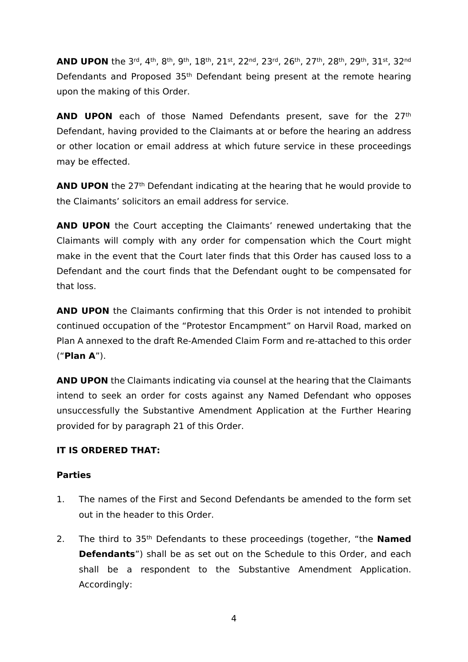**AND UPON** the 3rd, 4th, 8th, 9th, 18th, 21st, 22nd, 23rd, 26th, 27th, 28th, 29th, 31st, 32nd Defendants and Proposed 35th Defendant being present at the remote hearing upon the making of this Order.

**AND UPON** each of those Named Defendants present, save for the 27<sup>th</sup> Defendant, having provided to the Claimants at or before the hearing an address or other location or email address at which future service in these proceedings may be effected.

**AND UPON** the 27<sup>th</sup> Defendant indicating at the hearing that he would provide to the Claimants' solicitors an email address for service.

**AND UPON** the Court accepting the Claimants' renewed undertaking that the Claimants will comply with any order for compensation which the Court might make in the event that the Court later finds that this Order has caused loss to a Defendant and the court finds that the Defendant ought to be compensated for that loss.

**AND UPON** the Claimants confirming that this Order is not intended to prohibit continued occupation of the "Protestor Encampment" on Harvil Road, marked on Plan A annexed to the draft Re-Amended Claim Form and re-attached to this order ("**Plan A**").

**AND UPON** the Claimants indicating via counsel at the hearing that the Claimants intend to seek an order for costs against any Named Defendant who opposes unsuccessfully the Substantive Amendment Application at the Further Hearing provided for by paragraph 21 of this Order.

# **IT IS ORDERED THAT:**

### **Parties**

- 1. The names of the First and Second Defendants be amended to the form set out in the header to this Order.
- 2. The third to 35th Defendants to these proceedings (together, "the **Named Defendants**") shall be as set out on the Schedule to this Order, and each shall be a respondent to the Substantive Amendment Application. Accordingly: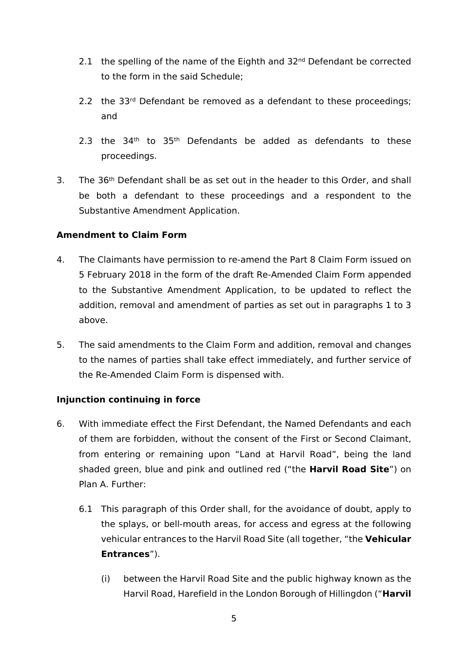- 2.1 the spelling of the name of the Eighth and 32<sup>nd</sup> Defendant be corrected to the form in the said Schedule;
- 2.2 the 33<sup>rd</sup> Defendant be removed as a defendant to these proceedings; and
- 2.3 the  $34<sup>th</sup>$  to  $35<sup>th</sup>$  Defendants be added as defendants to these proceedings.
- 3. The 36<sup>th</sup> Defendant shall be as set out in the header to this Order, and shall be both a defendant to these proceedings and a respondent to the Substantive Amendment Application.

## **Amendment to Claim Form**

- 4. The Claimants have permission to re-amend the Part 8 Claim Form issued on 5 February 2018 in the form of the draft Re-Amended Claim Form appended to the Substantive Amendment Application, to be updated to reflect the addition, removal and amendment of parties as set out in paragraphs 1 to 3 above.
- 5. The said amendments to the Claim Form and addition, removal and changes to the names of parties shall take effect immediately, and further service of the Re-Amended Claim Form is dispensed with.

### **Injunction continuing in force**

- 6. With immediate effect the First Defendant, the Named Defendants and each of them are forbidden, without the consent of the First or Second Claimant, from entering or remaining upon "Land at Harvil Road", being the land shaded green, blue and pink and outlined red ("the **Harvil Road Site**") on Plan A. Further:
	- 6.1 This paragraph of this Order shall, for the avoidance of doubt, apply to the splays, or bell-mouth areas, for access and egress at the following vehicular entrances to the Harvil Road Site (all together, "the **Vehicular Entrances**").
		- (i) between the Harvil Road Site and the public highway known as the Harvil Road, Harefield in the London Borough of Hillingdon ("**Harvil**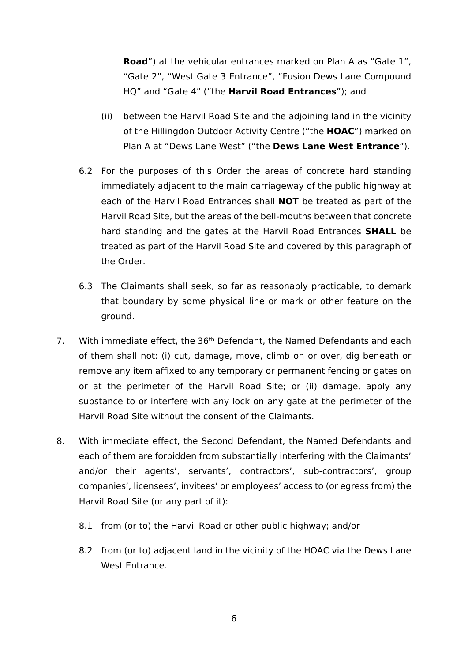**Road**") at the vehicular entrances marked on Plan A as "Gate 1", "Gate 2", "West Gate 3 Entrance", "Fusion Dews Lane Compound HQ" and "Gate 4" ("the **Harvil Road Entrances**"); and

- (ii) between the Harvil Road Site and the adjoining land in the vicinity of the Hillingdon Outdoor Activity Centre ("the **HOAC**") marked on Plan A at "Dews Lane West" ("the **Dews Lane West Entrance**").
- 6.2 For the purposes of this Order the areas of concrete hard standing immediately adjacent to the main carriageway of the public highway at each of the Harvil Road Entrances shall **NOT** be treated as part of the Harvil Road Site, but the areas of the bell-mouths between that concrete hard standing and the gates at the Harvil Road Entrances **SHALL** be treated as part of the Harvil Road Site and covered by this paragraph of the Order.
- 6.3 The Claimants shall seek, so far as reasonably practicable, to demark that boundary by some physical line or mark or other feature on the ground.
- 7. With immediate effect, the 36<sup>th</sup> Defendant, the Named Defendants and each of them shall not: (i) cut, damage, move, climb on or over, dig beneath or remove any item affixed to any temporary or permanent fencing or gates on or at the perimeter of the Harvil Road Site; or (ii) damage, apply any substance to or interfere with any lock on any gate at the perimeter of the Harvil Road Site without the consent of the Claimants.
- 8. With immediate effect, the Second Defendant, the Named Defendants and each of them are forbidden from substantially interfering with the Claimants' and/or their agents', servants', contractors', sub-contractors', group companies', licensees', invitees' or employees' access to (or egress from) the Harvil Road Site (or any part of it):
	- 8.1 from (or to) the Harvil Road or other public highway; and/or
	- 8.2 from (or to) adjacent land in the vicinity of the HOAC via the Dews Lane West Entrance.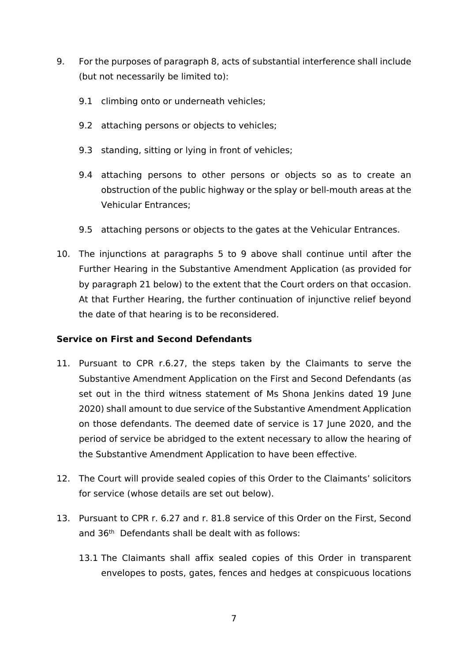- 9. For the purposes of paragraph 8, acts of substantial interference shall include (but not necessarily be limited to):
	- 9.1 climbing onto or underneath vehicles;
	- 9.2 attaching persons or objects to vehicles;
	- 9.3 standing, sitting or lying in front of vehicles;
	- 9.4 attaching persons to other persons or objects so as to create an obstruction of the public highway or the splay or bell-mouth areas at the Vehicular Entrances;
	- 9.5 attaching persons or objects to the gates at the Vehicular Entrances.
- 10. The injunctions at paragraphs 5 to 9 above shall continue until after the Further Hearing in the Substantive Amendment Application (as provided for by paragraph 21 below) to the extent that the Court orders on that occasion. At that Further Hearing, the further continuation of injunctive relief beyond the date of that hearing is to be reconsidered.

### **Service on First and Second Defendants**

- 11. Pursuant to CPR r.6.27, the steps taken by the Claimants to serve the Substantive Amendment Application on the First and Second Defendants (as set out in the third witness statement of Ms Shona Jenkins dated 19 June 2020) shall amount to due service of the Substantive Amendment Application on those defendants. The deemed date of service is 17 June 2020, and the period of service be abridged to the extent necessary to allow the hearing of the Substantive Amendment Application to have been effective.
- 12. The Court will provide sealed copies of this Order to the Claimants' solicitors for service (whose details are set out below).
- 13. Pursuant to CPR r. 6.27 and r. 81.8 service of this Order on the First, Second and 36th Defendants shall be dealt with as follows:
	- 13.1 The Claimants shall affix sealed copies of this Order in transparent envelopes to posts, gates, fences and hedges at conspicuous locations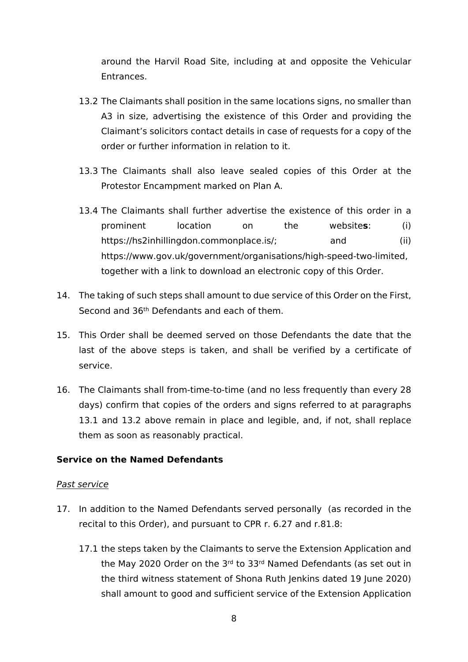around the Harvil Road Site, including at and opposite the Vehicular Entrances.

- 13.2 The Claimants shall position in the same locations signs, no smaller than A3 in size, advertising the existence of this Order and providing the Claimant's solicitors contact details in case of requests for a copy of the order or further information in relation to it.
- 13.3 The Claimants shall also leave sealed copies of this Order at the Protestor Encampment marked on Plan A.
- 13.4 The Claimants shall further advertise the existence of this order in a prominent location on the website**s**: (i) https://hs2inhillingdon.commonplace.is/; and (ii) https://www.gov.uk/government/organisations/high-speed-two-limited, together with a link to download an electronic copy of this Order.
- 14. The taking of such steps shall amount to due service of this Order on the First, Second and 36th Defendants and each of them.
- 15. This Order shall be deemed served on those Defendants the date that the last of the above steps is taken, and shall be verified by a certificate of service.
- 16. The Claimants shall from-time-to-time (and no less frequently than every 28 days) confirm that copies of the orders and signs referred to at paragraphs 13.1 and 13.2 above remain in place and legible, and, if not, shall replace them as soon as reasonably practical.

### **Service on the Named Defendants**

#### *Past service*

- 17. In addition to the Named Defendants served personally (as recorded in the recital to this Order), and pursuant to CPR r. 6.27 and r.81.8:
	- 17.1 the steps taken by the Claimants to serve the Extension Application and the May 2020 Order on the 3rd to 33rd Named Defendants (as set out in the third witness statement of Shona Ruth Jenkins dated 19 June 2020) shall amount to good and sufficient service of the Extension Application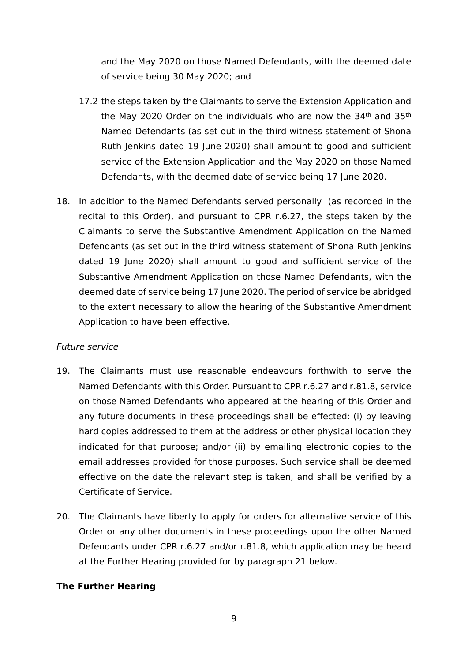and the May 2020 on those Named Defendants, with the deemed date of service being 30 May 2020; and

- 17.2 the steps taken by the Claimants to serve the Extension Application and the May 2020 Order on the individuals who are now the  $34<sup>th</sup>$  and  $35<sup>th</sup>$ Named Defendants (as set out in the third witness statement of Shona Ruth Jenkins dated 19 June 2020) shall amount to good and sufficient service of the Extension Application and the May 2020 on those Named Defendants, with the deemed date of service being 17 June 2020.
- 18. In addition to the Named Defendants served personally (as recorded in the recital to this Order), and pursuant to CPR r.6.27, the steps taken by the Claimants to serve the Substantive Amendment Application on the Named Defendants (as set out in the third witness statement of Shona Ruth Jenkins dated 19 June 2020) shall amount to good and sufficient service of the Substantive Amendment Application on those Named Defendants, with the deemed date of service being 17 June 2020. The period of service be abridged to the extent necessary to allow the hearing of the Substantive Amendment Application to have been effective.

### *Future service*

- 19. The Claimants must use reasonable endeavours forthwith to serve the Named Defendants with this Order. Pursuant to CPR r.6.27 and r.81.8, service on those Named Defendants who appeared at the hearing of this Order and any future documents in these proceedings shall be effected: (i) by leaving hard copies addressed to them at the address or other physical location they indicated for that purpose; and/or (ii) by emailing electronic copies to the email addresses provided for those purposes. Such service shall be deemed effective on the date the relevant step is taken, and shall be verified by a Certificate of Service.
- 20. The Claimants have liberty to apply for orders for alternative service of this Order or any other documents in these proceedings upon the other Named Defendants under CPR r.6.27 and/or r.81.8, which application may be heard at the Further Hearing provided for by paragraph 21 below.

#### **The Further Hearing**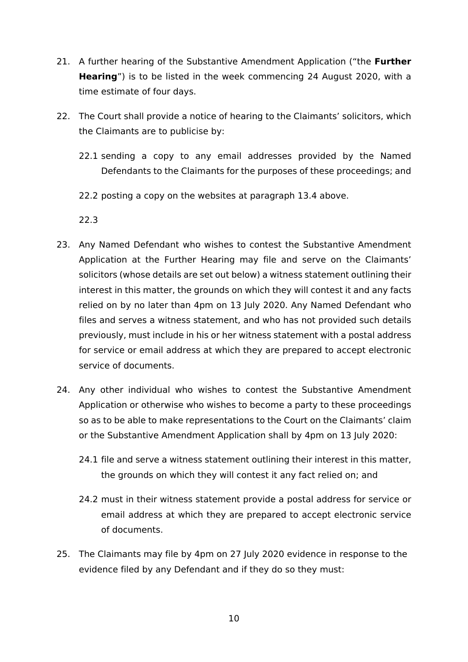- 21. A further hearing of the Substantive Amendment Application ("the **Further Hearing**") is to be listed in the week commencing 24 August 2020, with a time estimate of four days.
- 22. The Court shall provide a notice of hearing to the Claimants' solicitors, which the Claimants are to publicise by:
	- 22.1 sending a copy to any email addresses provided by the Named Defendants to the Claimants for the purposes of these proceedings; and
	- 22.2 posting a copy on the websites at paragraph 13.4 above.

22.3

- 23. Any Named Defendant who wishes to contest the Substantive Amendment Application at the Further Hearing may file and serve on the Claimants' solicitors (whose details are set out below) a witness statement outlining their interest in this matter, the grounds on which they will contest it and any facts relied on by no later than 4pm on 13 July 2020. Any Named Defendant who files and serves a witness statement, and who has not provided such details previously, must include in his or her witness statement with a postal address for service or email address at which they are prepared to accept electronic service of documents.
- 24. Any other individual who wishes to contest the Substantive Amendment Application or otherwise who wishes to become a party to these proceedings so as to be able to make representations to the Court on the Claimants' claim or the Substantive Amendment Application shall by 4pm on 13 July 2020:
	- 24.1 file and serve a witness statement outlining their interest in this matter, the grounds on which they will contest it any fact relied on; and
	- 24.2 must in their witness statement provide a postal address for service or email address at which they are prepared to accept electronic service of documents.
- 25. The Claimants may file by 4pm on 27 July 2020 evidence in response to the evidence filed by any Defendant and if they do so they must: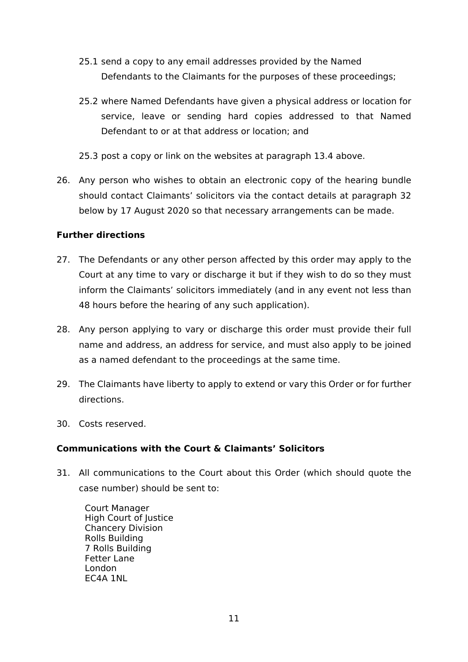- 25.1 send a copy to any email addresses provided by the Named Defendants to the Claimants for the purposes of these proceedings;
- 25.2 where Named Defendants have given a physical address or location for service, leave or sending hard copies addressed to that Named Defendant to or at that address or location; and
- 25.3 post a copy or link on the websites at paragraph 13.4 above.
- 26. Any person who wishes to obtain an electronic copy of the hearing bundle should contact Claimants' solicitors via the contact details at paragraph 32 below by 17 August 2020 so that necessary arrangements can be made.

### **Further directions**

- 27. The Defendants or any other person affected by this order may apply to the Court at any time to vary or discharge it but if they wish to do so they must inform the Claimants' solicitors immediately (and in any event not less than 48 hours before the hearing of any such application).
- 28. Any person applying to vary or discharge this order must provide their full name and address, an address for service, and must also apply to be joined as a named defendant to the proceedings at the same time.
- 29. The Claimants have liberty to apply to extend or vary this Order or for further directions.
- 30. Costs reserved.

# **Communications with the Court & Claimants' Solicitors**

31. All communications to the Court about this Order (which should quote the case number) should be sent to:

Court Manager High Court of Justice Chancery Division Rolls Building 7 Rolls Building Fetter Lane London EC4A 1NL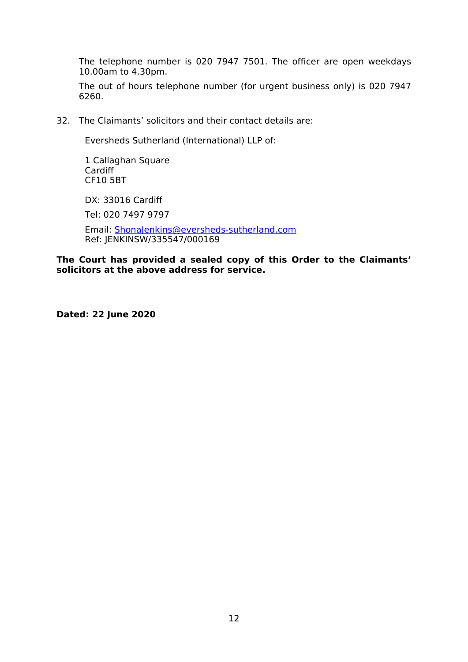The telephone number is 020 7947 7501. The officer are open weekdays 10.00am to 4.30pm.

The out of hours telephone number (for urgent business only) is 020 7947 6260.

32. The Claimants' solicitors and their contact details are:

Eversheds Sutherland (International) LLP of:

1 Callaghan Square Cardiff CF10 5BT

DX: 33016 Cardiff

Tel: 020 7497 9797

Email: [ShonaJenkins@eversheds-sutherland.com](mailto:ShonaJenkins@eversheds-sutherland.com) Ref: JENKINSW/335547/000169

**The Court has provided a sealed copy of this Order to the Claimants' solicitors at the above address for service.**

**Dated: 22 June 2020**